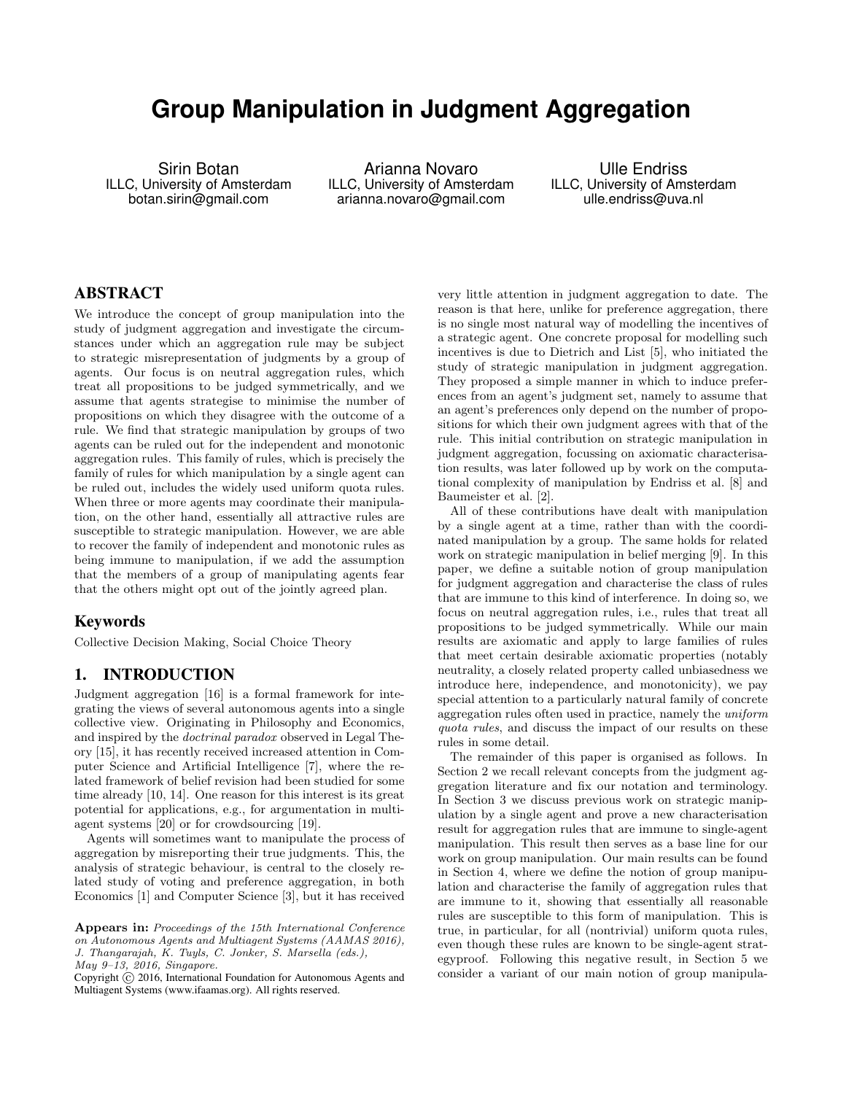# **Group Manipulation in Judgment Aggregation**

Sirin Botan ILLC, University of Amsterdam botan.sirin@gmail.com

Arianna Novaro ILLC, University of Amsterdam arianna.novaro@gmail.com

Ulle Endriss ILLC, University of Amsterdam ulle.endriss@uva.nl

# ABSTRACT

We introduce the concept of group manipulation into the study of judgment aggregation and investigate the circumstances under which an aggregation rule may be subject to strategic misrepresentation of judgments by a group of agents. Our focus is on neutral aggregation rules, which treat all propositions to be judged symmetrically, and we assume that agents strategise to minimise the number of propositions on which they disagree with the outcome of a rule. We find that strategic manipulation by groups of two agents can be ruled out for the independent and monotonic aggregation rules. This family of rules, which is precisely the family of rules for which manipulation by a single agent can be ruled out, includes the widely used uniform quota rules. When three or more agents may coordinate their manipulation, on the other hand, essentially all attractive rules are susceptible to strategic manipulation. However, we are able to recover the family of independent and monotonic rules as being immune to manipulation, if we add the assumption that the members of a group of manipulating agents fear that the others might opt out of the jointly agreed plan.

### Keywords

Collective Decision Making, Social Choice Theory

# 1. INTRODUCTION

Judgment aggregation [16] is a formal framework for integrating the views of several autonomous agents into a single collective view. Originating in Philosophy and Economics, and inspired by the doctrinal paradox observed in Legal Theory [15], it has recently received increased attention in Computer Science and Artificial Intelligence [7], where the related framework of belief revision had been studied for some time already [10, 14]. One reason for this interest is its great potential for applications, e.g., for argumentation in multiagent systems [20] or for crowdsourcing [19].

Agents will sometimes want to manipulate the process of aggregation by misreporting their true judgments. This, the analysis of strategic behaviour, is central to the closely related study of voting and preference aggregation, in both Economics [1] and Computer Science [3], but it has received

Appears in: Proceedings of the 15th International Conference on Autonomous Agents and Multiagent Systems (AAMAS 2016), J. Thangarajah, K. Tuyls, C. Jonker, S. Marsella (eds.), May 9–13, 2016, Singapore.

Copyright (C) 2016, International Foundation for Autonomous Agents and Multiagent Systems (www.ifaamas.org). All rights reserved.

very little attention in judgment aggregation to date. The reason is that here, unlike for preference aggregation, there is no single most natural way of modelling the incentives of a strategic agent. One concrete proposal for modelling such incentives is due to Dietrich and List [5], who initiated the study of strategic manipulation in judgment aggregation. They proposed a simple manner in which to induce preferences from an agent's judgment set, namely to assume that an agent's preferences only depend on the number of propositions for which their own judgment agrees with that of the rule. This initial contribution on strategic manipulation in judgment aggregation, focussing on axiomatic characterisation results, was later followed up by work on the computational complexity of manipulation by Endriss et al. [8] and Baumeister et al. [2].

All of these contributions have dealt with manipulation by a single agent at a time, rather than with the coordinated manipulation by a group. The same holds for related work on strategic manipulation in belief merging [9]. In this paper, we define a suitable notion of group manipulation for judgment aggregation and characterise the class of rules that are immune to this kind of interference. In doing so, we focus on neutral aggregation rules, i.e., rules that treat all propositions to be judged symmetrically. While our main results are axiomatic and apply to large families of rules that meet certain desirable axiomatic properties (notably neutrality, a closely related property called unbiasedness we introduce here, independence, and monotonicity), we pay special attention to a particularly natural family of concrete aggregation rules often used in practice, namely the uniform quota rules, and discuss the impact of our results on these rules in some detail.

The remainder of this paper is organised as follows. In Section 2 we recall relevant concepts from the judgment aggregation literature and fix our notation and terminology. In Section 3 we discuss previous work on strategic manipulation by a single agent and prove a new characterisation result for aggregation rules that are immune to single-agent manipulation. This result then serves as a base line for our work on group manipulation. Our main results can be found in Section 4, where we define the notion of group manipulation and characterise the family of aggregation rules that are immune to it, showing that essentially all reasonable rules are susceptible to this form of manipulation. This is true, in particular, for all (nontrivial) uniform quota rules, even though these rules are known to be single-agent strategyproof. Following this negative result, in Section 5 we consider a variant of our main notion of group manipula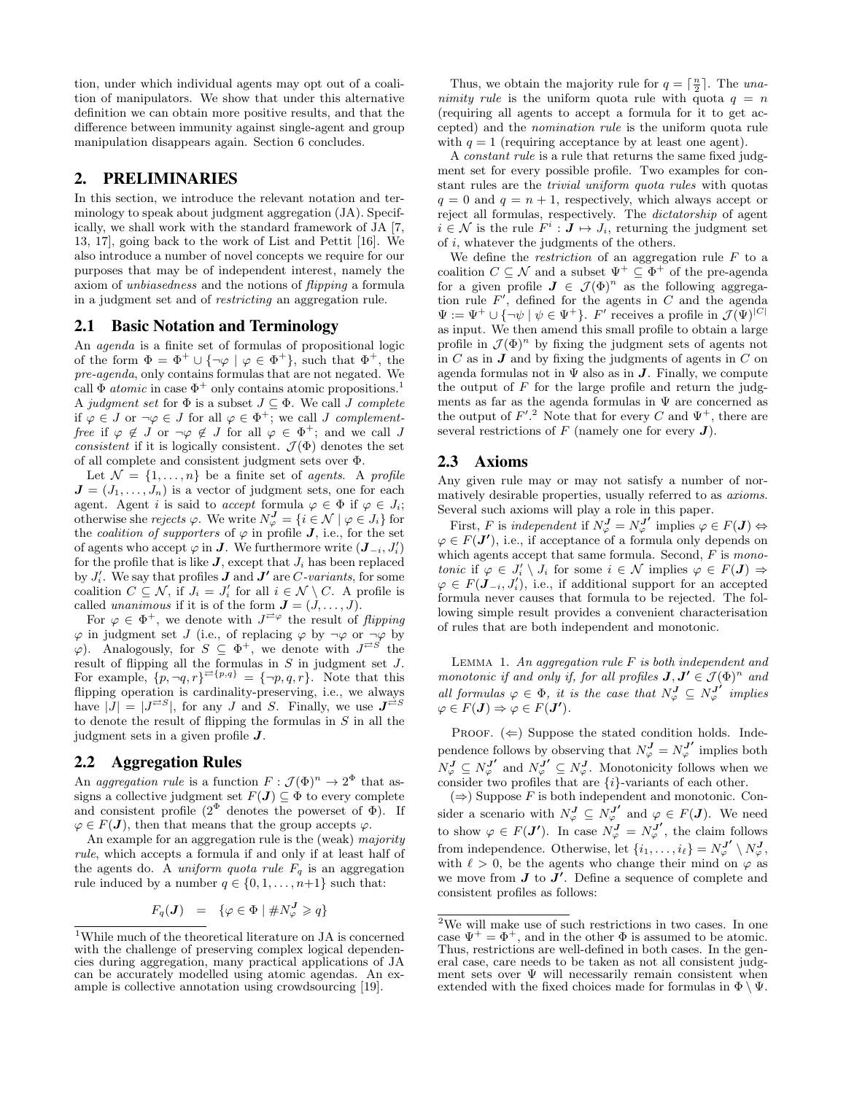tion, under which individual agents may opt out of a coalition of manipulators. We show that under this alternative definition we can obtain more positive results, and that the difference between immunity against single-agent and group manipulation disappears again. Section 6 concludes.

## 2. PRELIMINARIES

In this section, we introduce the relevant notation and terminology to speak about judgment aggregation (JA). Specifically, we shall work with the standard framework of JA [7, 13, 17], going back to the work of List and Pettit [16]. We also introduce a number of novel concepts we require for our purposes that may be of independent interest, namely the axiom of unbiasedness and the notions of flipping a formula in a judgment set and of restricting an aggregation rule.

#### 2.1 Basic Notation and Terminology

An agenda is a finite set of formulas of propositional logic of the form  $\Phi = \Phi^+ \cup {\neg \varphi \mid \varphi \in \Phi^+}$ , such that  $\Phi^+$ , the pre-agenda, only contains formulas that are not negated. We call  $\Phi$  *atomic* in case  $\Phi^+$  only contains atomic propositions.<sup>1</sup> A judgment set for  $\Phi$  is a subset  $J \subseteq \Phi$ . We call  $J$  complete if  $\varphi \in J$  or  $\neg \varphi \in J$  for all  $\varphi \in \Phi^+$ ; we call J complementfree if  $\varphi \notin J$  or  $\neg \varphi \notin J$  for all  $\varphi \in \Phi^+$ ; and we call J consistent if it is logically consistent.  $\mathcal{J}(\Phi)$  denotes the set of all complete and consistent judgment sets over Φ.

Let  $\mathcal{N} = \{1, \ldots, n\}$  be a finite set of agents. A profile  $J = (J_1, \ldots, J_n)$  is a vector of judgment sets, one for each agent. Agent *i* is said to *accept* formula  $\varphi \in \Phi$  if  $\varphi \in J_i$ ; otherwise she rejects  $\varphi$ . We write  $N_{\varphi}^{J} = \{i \in \mathcal{N} \mid \varphi \in J_i\}$  for the *coalition of supporters* of  $\varphi$  in profile **J**, i.e., for the set of agents who accept  $\varphi$  in  $J$ . We furthermore write  $(\bm{J}_{-i}, J_i')$ for the profile that is like  $J$ , except that  $J_i$  has been replaced by  $J_i'$ . We say that profiles  $J$  and  $J'$  are C-variants, for some coalition  $C \subseteq \mathcal{N}$ , if  $J_i = J'_i$  for all  $i \in \mathcal{N} \setminus C$ . A profile is called unanimous if it is of the form  $\mathbf{J} = (J, \ldots, J)$ .

For  $\varphi \in \Phi^+$ , we denote with  $J^{\neq \varphi}$  the result of *flipping*  $\varphi$  in judgment set J (i.e., of replacing  $\varphi$  by  $\neg \varphi$  or  $\neg \varphi$  by  $(\varphi)$ . Analogously, for  $S \subseteq \Phi^+$ , we denote with  $J^{\rightleftarrows S'}$  the result of flipping all the formulas in  $S$  in judgment set  $J$ . For example,  $\{p, \neg q, r\}^{\rightleftarrows \{p,q\}} = \{\neg p, q, r\}$ . Note that this flipping operation is cardinality-preserving, i.e., we always have  $|\tilde{J}| = |J^{\overline{\rightleftharpoons}S}|$ , for any J and S. Finally, we use  $J^{\overline{\rightleftharpoons}S}$ to denote the result of flipping the formulas in  $S$  in all the judgment sets in a given profile  $J$ .

#### 2.2 Aggregation Rules

An aggregation rule is a function  $F: \mathcal{J}(\Phi)^n \to 2^{\Phi}$  that assigns a collective judgment set  $F(\mathbf{J}) \subseteq \Phi$  to every complete and consistent profile  $(2^{\Phi}$  denotes the powerset of  $\Phi$ ). If  $\varphi \in F(\mathbf{J})$ , then that means that the group accepts  $\varphi$ .

An example for an aggregation rule is the (weak) *majority* rule, which accepts a formula if and only if at least half of the agents do. A *uniform quota rule*  $F_q$  is an aggregation rule induced by a number  $q \in \{0, 1, \ldots, n+1\}$  such that:

$$
F_q(\boldsymbol{J}) \;\; = \;\; \{\varphi \in \Phi \mid \#N_{\varphi}^{\boldsymbol{J}} \geqslant q\}
$$

Thus, we obtain the majority rule for  $q = \lceil \frac{n}{2} \rceil$ . The unanimity rule is the uniform quota rule with quota  $q = n$ (requiring all agents to accept a formula for it to get accepted) and the nomination rule is the uniform quota rule with  $q = 1$  (requiring acceptance by at least one agent).

A constant rule is a rule that returns the same fixed judgment set for every possible profile. Two examples for constant rules are the trivial uniform quota rules with quotas  $q = 0$  and  $q = n + 1$ , respectively, which always accept or reject all formulas, respectively. The dictatorship of agent  $i \in \mathcal{N}$  is the rule  $F^i: \mathbf{J} \mapsto J_i$ , returning the judgment set of i, whatever the judgments of the others.

We define the *restriction* of an aggregation rule  $F$  to a coalition  $C \subseteq \mathcal{N}$  and a subset  $\Psi^+ \subseteq \Phi^+$  of the pre-agenda for a given profile  $J \in \mathcal{J}(\Phi)^n$  as the following aggregation rule  $F'$ , defined for the agents in C and the agenda  $\Psi := \Psi^+ \cup {\{\neg \psi \mid \psi \in \Psi^+\}}$ . F' receives a profile in  $\mathcal{J}(\Psi)^{|C|}$ as input. We then amend this small profile to obtain a large profile in  $\mathcal{J}(\Phi)^n$  by fixing the judgment sets of agents not in  $C$  as in  $J$  and by fixing the judgments of agents in  $C$  on agenda formulas not in  $\Psi$  also as in  $J$ . Finally, we compute the output of  $F$  for the large profile and return the judgments as far as the agenda formulas in  $\Psi$  are concerned as the output of  $F^{\prime}$ .<sup>2</sup> Note that for every C and  $\Psi^+$ , there are several restrictions of  $F$  (namely one for every  $J$ ).

#### 2.3 Axioms

Any given rule may or may not satisfy a number of normatively desirable properties, usually referred to as axioms. Several such axioms will play a role in this paper.

First, F is independent if  $N_{\varphi}^{J} = N_{\varphi}^{J'}$  implies  $\varphi \in F(J) \Leftrightarrow$  $\varphi \in F(\mathbf{J}')$ , i.e., if acceptance of a formula only depends on which agents accept that same formula. Second,  $F$  is monotonic if  $\varphi \in J'_i \setminus J_i$  for some  $i \in \mathcal{N}$  implies  $\varphi \in F(\mathbf{J}) \Rightarrow$  $\varphi \in F(\mathbf{J}_{-i}, J'_i)$ , i.e., if additional support for an accepted formula never causes that formula to be rejected. The following simple result provides a convenient characterisation of rules that are both independent and monotonic.

LEMMA 1. An aggregation rule  $F$  is both independent and monotonic if and only if, for all profiles  $J, J' \in \mathcal{J}(\Phi)^n$  and all formulas  $\varphi \in \Phi$ , it is the case that  $N_{\varphi}^J \subseteq N_{\varphi}^{J'}$  implies  $\varphi \in F(\mathbf{J}) \Rightarrow \varphi \in F(\mathbf{J'})$ .

PROOF.  $(\Leftarrow)$  Suppose the stated condition holds. Independence follows by observing that  $N_{\varphi}^{J} = N_{\varphi}^{J'}$  implies both  $N_{\varphi}^{J} \subseteq N_{\varphi}^{J'}$  and  $N_{\varphi}^{J'} \subseteq N_{\varphi}^{J}$ . Monotonicity follows when we consider two profiles that are  $\{i\}$ -variants of each other.

 $(\Rightarrow)$  Suppose  $F$  is both independent and monotonic. Consider a scenario with  $N_{\varphi}^{J} \subseteq N_{\varphi}^{J'}$  and  $\varphi \in F(J)$ . We need to show  $\varphi \in F(\mathbf{J'})$ . In case  $N_{\varphi}^{\mathbf{J}} = N_{\varphi}^{\mathbf{J'}}$ , the claim follows from independence. Otherwise, let  $\{i_1, \ldots, i_\ell\} = N_{\varphi}^{J'} \setminus N_{\varphi}^{J}$ , with  $\ell > 0$ , be the agents who change their mind on  $\varphi$  as we move from  $J$  to  $J'$ . Define a sequence of complete and consistent profiles as follows:

<sup>1</sup>While much of the theoretical literature on JA is concerned with the challenge of preserving complex logical dependencies during aggregation, many practical applications of JA can be accurately modelled using atomic agendas. An example is collective annotation using crowdsourcing [19].

 $^2\mathrm{We}$  will make use of such restrictions in two cases. In one case  $\Psi^+ = \Phi^+$ , and in the other  $\Phi$  is assumed to be atomic. Thus, restrictions are well-defined in both cases. In the general case, care needs to be taken as not all consistent judgment sets over  $\Psi$  will necessarily remain consistent when extended with the fixed choices made for formulas in  $\Phi \setminus \Psi$ .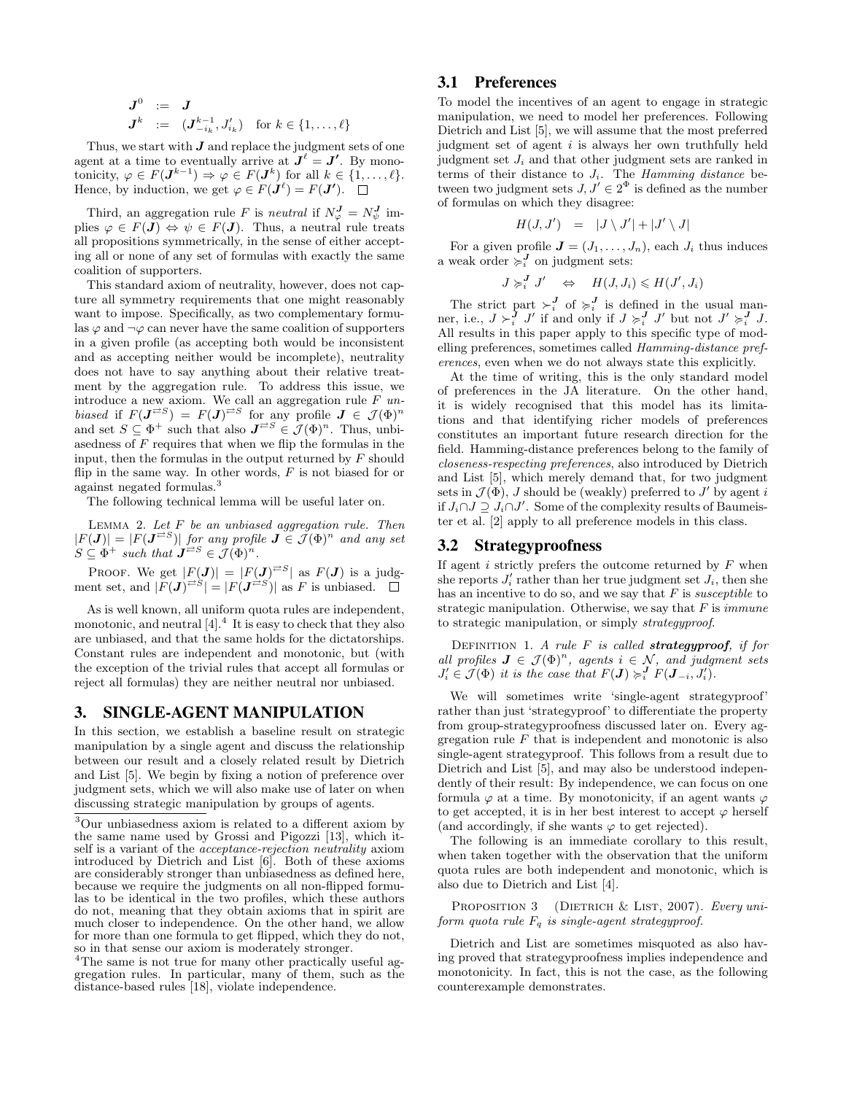$$
\begin{array}{rcl} \bm{J}^{0} & := & \bm{J} \\ \bm{J}^{k} & := & (\bm{J}^{k-1}_{-i_k}, J'_{i_k}) \quad \text{for } k \in \{1, \ldots, \ell\} \end{array}
$$

Thus, we start with  $J$  and replace the judgment sets of one agent at a time to eventually arrive at  $J^{\ell} = J'$ . By monotonicity,  $\varphi \in F(\mathbf{J}^{k-1}) \Rightarrow \varphi \in F(\mathbf{J}^k)$  for all  $k \in \{1, \ldots, \ell\}.$ Hence, by induction, we get  $\varphi \in F(\mathbf{J}^{\ell}) = F(\mathbf{J}')$ .

Third, an aggregation rule F is neutral if  $N_{\varphi}^{J} = N_{\psi}^{J}$  implies  $\varphi \in F(\mathbf{J}) \Leftrightarrow \psi \in F(\mathbf{J})$ . Thus, a neutral rule treats all propositions symmetrically, in the sense of either accepting all or none of any set of formulas with exactly the same coalition of supporters.

This standard axiom of neutrality, however, does not capture all symmetry requirements that one might reasonably want to impose. Specifically, as two complementary formulas  $\varphi$  and  $\neg \varphi$  can never have the same coalition of supporters in a given profile (as accepting both would be inconsistent and as accepting neither would be incomplete), neutrality does not have to say anything about their relative treatment by the aggregation rule. To address this issue, we introduce a new axiom. We call an aggregation rule  $F$  unbiased if  $F(\mathbf{J}^{\rightleftarrows S}) = F(\mathbf{J})^{\rightleftarrows S}$  for any profile  $\mathbf{J} \in \mathcal{J}(\Phi)^n$ and set  $S \subseteq \Phi^+$  such that also  $J^{\rightleftarrows S} \in \mathcal{J}(\Phi)^n$ . Thus, unbiasedness of  $F$  requires that when we flip the formulas in the input, then the formulas in the output returned by  $F$  should flip in the same way. In other words,  $F$  is not biased for or against negated formulas.<sup>3</sup>

The following technical lemma will be useful later on.

LEMMA 2. Let  $F$  be an unbiased aggregation rule. Then  $|F(\mathbf{J})| = |F(\mathbf{J}^{\rightleftarrows S})|$  for any profile  $\mathbf{J} \in \tilde{\mathcal{J}}(\Phi)^n$  and any set  $S \subseteq \Phi^+$  such that  $J^{\neq S} \in \mathcal{J}(\Phi)^n$ .

PROOF. We get  $|F(\mathbf{J})| = |F(\mathbf{J})^{\neq S}|$  as  $F(\mathbf{J})$  is a judgment set, and  $|F(\mathbf{J})^{\rightleftarrows S}| = |F(\mathbf{J}^{\geq S})|$  as F is unbiased.

As is well known, all uniform quota rules are independent, monotonic, and neutral  $[4]$ .<sup>4</sup> It is easy to check that they also are unbiased, and that the same holds for the dictatorships. Constant rules are independent and monotonic, but (with the exception of the trivial rules that accept all formulas or reject all formulas) they are neither neutral nor unbiased.

#### 3. SINGLE-AGENT MANIPULATION

In this section, we establish a baseline result on strategic manipulation by a single agent and discuss the relationship between our result and a closely related result by Dietrich and List [5]. We begin by fixing a notion of preference over judgment sets, which we will also make use of later on when discussing strategic manipulation by groups of agents.

 ${}^{4}{\rm The}$  same is not true for many other practically useful aggregation rules. In particular, many of them, such as the distance-based rules [18], violate independence.

## 3.1 Preferences

To model the incentives of an agent to engage in strategic manipulation, we need to model her preferences. Following Dietrich and List [5], we will assume that the most preferred judgment set of agent i is always her own truthfully held judgment set  $J_i$  and that other judgment sets are ranked in terms of their distance to  $J_i$ . The Hamming distance between two judgment sets  $J, J' \in 2^{\Phi}$  is defined as the number of formulas on which they disagree:

$$
H(J,J') = |J \setminus J'| + |J' \setminus J|
$$

For a given profile  $J = (J_1, \ldots, J_n)$ , each  $J_i$  thus induces a weak order  $\sum_{i=1}^{J}$  on judgment sets:

$$
J \succcurlyeq_i^J J' \quad \Leftrightarrow \quad H(J, J_i) \leqslant H(J', J_i)
$$

The strict part  $\succ_i^J$  of  $\succ_i^J$  is defined in the usual manner, i.e.,  $J \succ_i^J J'$  if and only if  $J \succ_i^J J'$  but not  $J' \succ_i^J J$ . All results in this paper apply to this specific type of modelling preferences, sometimes called Hamming-distance preferences, even when we do not always state this explicitly.

At the time of writing, this is the only standard model of preferences in the JA literature. On the other hand, it is widely recognised that this model has its limitations and that identifying richer models of preferences constitutes an important future research direction for the field. Hamming-distance preferences belong to the family of closeness-respecting preferences, also introduced by Dietrich and List [5], which merely demand that, for two judgment sets in  $\mathcal{J}(\Phi)$ , *J* should be (weakly) preferred to  $J'$  by agent i if  $J_i ∩ J ⊇ J_i ∩ J'$ . Some of the complexity results of Baumeister et al. [2] apply to all preference models in this class.

#### 3.2 Strategyproofness

If agent  $i$  strictly prefers the outcome returned by  $F$  when she reports  $J_i'$  rather than her true judgment set  $J_i$ , then she has an incentive to do so, and we say that  $F$  is *susceptible* to strategic manipulation. Otherwise, we say that  $F$  is *immune* to strategic manipulation, or simply strategyproof.

DEFINITION 1. A rule  $F$  is called **strategyproof**, if for all profiles  $J \in \mathcal{J}(\Phi)^n$ , agents  $i \in \mathcal{N}$ , and judgment sets  $J_i' \in \mathcal{J}(\Phi)$  it is the case that  $F(\mathbf{J}) \succcurlyeq_i^{\mathbf{J}} F(\mathbf{J}_{-i}, J_i').$ 

We will sometimes write 'single-agent strategyproof' rather than just 'strategyproof' to differentiate the property from group-strategyproofness discussed later on. Every aggregation rule  $F$  that is independent and monotonic is also single-agent strategyproof. This follows from a result due to Dietrich and List [5], and may also be understood independently of their result: By independence, we can focus on one formula  $\varphi$  at a time. By monotonicity, if an agent wants  $\varphi$ to get accepted, it is in her best interest to accept  $\varphi$  herself (and accordingly, if she wants  $\varphi$  to get rejected).

The following is an immediate corollary to this result, when taken together with the observation that the uniform quota rules are both independent and monotonic, which is also due to Dietrich and List [4].

PROPOSITION 3 (DIETRICH  $&$  LIST, 2007). Every uniform quota rule  $F_q$  is single-agent strategyproof.

Dietrich and List are sometimes misquoted as also having proved that strategyproofness implies independence and monotonicity. In fact, this is not the case, as the following counterexample demonstrates.

<sup>3</sup>Our unbiasedness axiom is related to a different axiom by the same name used by Grossi and Pigozzi [13], which itself is a variant of the acceptance-rejection neutrality axiom introduced by Dietrich and List [6]. Both of these axioms are considerably stronger than unbiasedness as defined here, because we require the judgments on all non-flipped formulas to be identical in the two profiles, which these authors do not, meaning that they obtain axioms that in spirit are much closer to independence. On the other hand, we allow for more than one formula to get flipped, which they do not, so in that sense our axiom is moderately stronger.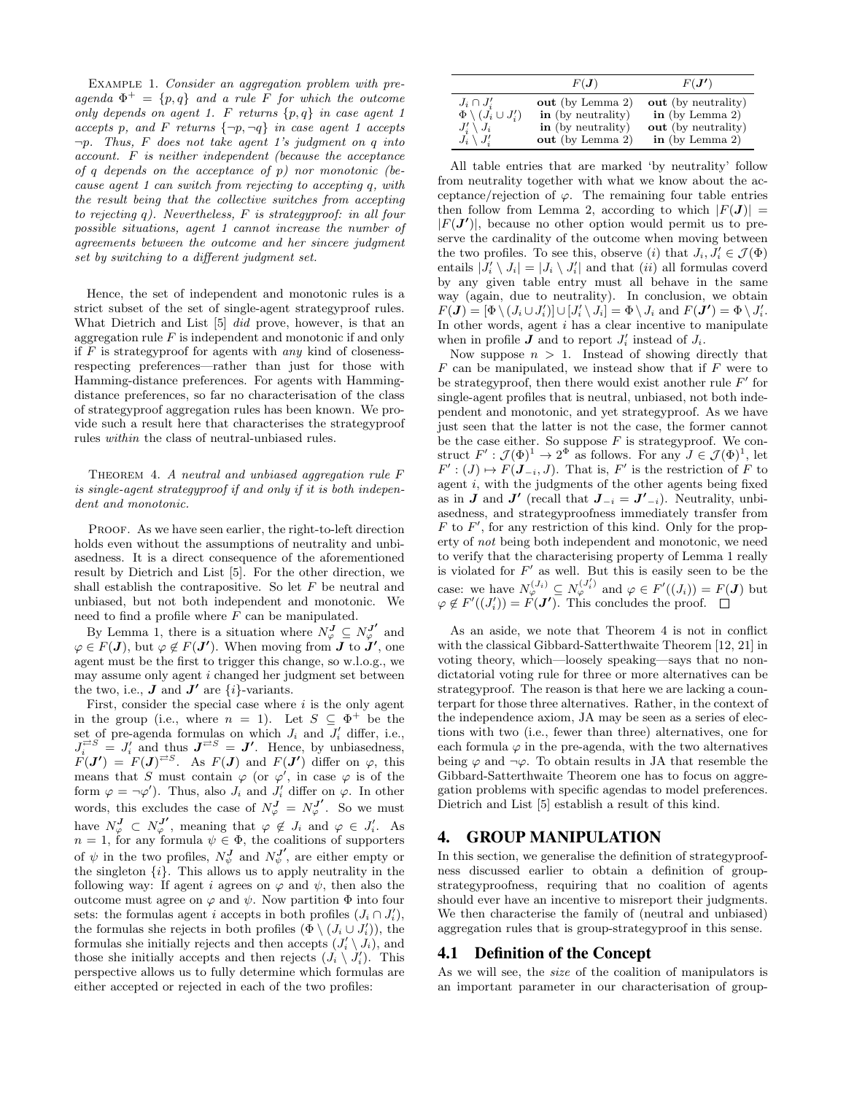Example 1. Consider an aggregation problem with preagenda  $\Phi^+ = \{p, q\}$  and a rule F for which the outcome only depends on agent 1.  $F$  returns  $\{p,q\}$  in case agent 1 accepts p, and F returns  $\{\neg p, \neg q\}$  in case agent 1 accepts  $\neg p$ . Thus, F does not take agent 1's judgment on q into account. F is neither independent (because the acceptance of q depends on the acceptance of  $p$ ) nor monotonic (because agent 1 can switch from rejecting to accepting q, with the result being that the collective switches from accepting to rejecting q). Nevertheless,  $F$  is strategyproof: in all four possible situations, agent 1 cannot increase the number of agreements between the outcome and her sincere judgment set by switching to a different judgment set.

Hence, the set of independent and monotonic rules is a strict subset of the set of single-agent strategyproof rules. What Dietrich and List [5] did prove, however, is that an aggregation rule  $F$  is independent and monotonic if and only if  $F$  is strategyproof for agents with any kind of closenessrespecting preferences—rather than just for those with Hamming-distance preferences. For agents with Hammingdistance preferences, so far no characterisation of the class of strategyproof aggregation rules has been known. We provide such a result here that characterises the strategyproof rules within the class of neutral-unbiased rules.

THEOREM 4. A neutral and unbiased aggregation rule F is single-agent strategyproof if and only if it is both independent and monotonic.

PROOF. As we have seen earlier, the right-to-left direction holds even without the assumptions of neutrality and unbiasedness. It is a direct consequence of the aforementioned result by Dietrich and List [5]. For the other direction, we shall establish the contrapositive. So let  $F$  be neutral and unbiased, but not both independent and monotonic. We need to find a profile where  $F$  can be manipulated.

By Lemma 1, there is a situation where  $N_{\varphi}^{J} \subseteq N_{\varphi}^{J'}$  and  $\varphi \in F(\mathbf{J})$ , but  $\varphi \notin F(\mathbf{J'})$ . When moving from  $\mathbf{J}$  to  $\mathbf{J'}$ , one agent must be the first to trigger this change, so w.l.o.g., we may assume only agent i changed her judgment set between the two, i.e.,  $\boldsymbol{J}$  and  $\boldsymbol{J}'$  are  $\{i\}$ -variants.

First, consider the special case where  $i$  is the only agent in the group (i.e., where  $n = 1$ ). Let  $S \subseteq \Phi^+$  be the set of pre-agenda formulas on which  $J_i$  and  $J'_i$  differ, i.e.,  $J_i^{\overrightarrow{c}} = J'_i$  and thus  $J^{\overrightarrow{c}} = J'$ . Hence, by unbiasedness,  $F(\bm{J}') = F(\bm{J})^{\neq S}$ . As  $F(\bm{J})$  and  $F(\bm{J}')$  differ on  $\varphi$ , this means that S must contain  $\varphi$  (or  $\varphi'$ , in case  $\varphi$  is of the form  $\varphi = \neg \varphi'$ ). Thus, also  $J_i$  and  $J'_i$  differ on  $\varphi$ . In other words, this excludes the case of  $N_{\varphi}^{J} = N_{\varphi}^{J'}$ . So we must have  $N_{\varphi}^{J} \subset N_{\varphi}^{J'}$ , meaning that  $\varphi \notin J_i$  and  $\varphi \in J'_i$ . As  $n = 1$ , for any formula  $\psi \in \Phi$ , the coalitions of supporters of  $\psi$  in the two profiles,  $N_{\psi}^{J}$  and  $N_{\psi}^{J'}$ , are either empty or the singleton  $\{i\}$ . This allows us to apply neutrality in the following way: If agent i agrees on  $\varphi$  and  $\psi$ , then also the outcome must agree on  $\varphi$  and  $\psi$ . Now partition  $\Phi$  into four sets: the formulas agent i accepts in both profiles  $(J_i \cap J'_i)$ , the formulas she rejects in both profiles  $(\Phi \setminus (J_i \cup J'_i))$ , the formulas she initially rejects and then accepts  $(J_i' \setminus J_i)$ , and those she initially accepts and then rejects  $(J_i \setminus J'_i)$ . This perspective allows us to fully determine which formulas are either accepted or rejected in each of the two profiles:

|                                  | $F(\bm{J})$        | $F(\bm{J'})$        |
|----------------------------------|--------------------|---------------------|
| $J_i \cap J'_i$                  | out (by Lemma 2)   | out (by neutrality) |
| $\Phi \setminus (J_i \cup J_i')$ | in (by neutrality) | in (by Lemma 2)     |
| $J_i' \setminus J_i$             | in (by neutrality) | out (by neutrality) |
| $J_i \setminus J'_i$             | out (by Lemma 2)   | in (by Lemma 2)     |

All table entries that are marked 'by neutrality' follow from neutrality together with what we know about the acceptance/rejection of  $\varphi$ . The remaining four table entries then follow from Lemma 2, according to which  $|F(\mathbf{J})|$  =  $|F(\mathbf{J'})|$ , because no other option would permit us to preserve the cardinality of the outcome when moving between the two profiles. To see this, observe (i) that  $J_i, J'_i \in \mathcal{J}(\Phi)$ entails  $|J'_i \setminus J_i| = |J_i \setminus J'_i|$  and that  $(ii)$  all formulas coverd by any given table entry must all behave in the same way (again, due to neutrality). In conclusion, we obtain  $F(\mathbf{J}) = [\Phi \setminus (J_i \cup J'_i)] \cup [J'_i \setminus J_i] = \Phi \setminus J_i$  and  $F(\mathbf{J'}) = \Phi \setminus J'_i$ . In other words, agent  $i$  has a clear incentive to manipulate when in profile  $J$  and to report  $J_i'$  instead of  $J_i$ .

Now suppose  $n > 1$ . Instead of showing directly that  $F$  can be manipulated, we instead show that if  $F$  were to be strategyproof, then there would exist another rule  $F'$  for single-agent profiles that is neutral, unbiased, not both independent and monotonic, and yet strategyproof. As we have just seen that the latter is not the case, the former cannot be the case either. So suppose  $F$  is strategyproof. We construct  $F' : \mathcal{J}(\Phi)^1 \to 2^{\Phi}$  as follows. For any  $J \in \mathcal{J}(\Phi)^1$ , let  $F' : (J) \mapsto F(\mathbf{J}_{-i}, J)$ . That is,  $F'$  is the restriction of F to agent  $i$ , with the judgments of the other agents being fixed as in **J** and **J'** (recall that  $J_{-i} = J'_{-i}$ ). Neutrality, unbiasedness, and strategyproofness immediately transfer from  $F$  to  $F'$ , for any restriction of this kind. Only for the property of not being both independent and monotonic, we need to verify that the characterising property of Lemma 1 really is violated for  $F'$  as well. But this is easily seen to be the case: we have  $N_{\varphi}^{(J_i)} \subseteq N_{\varphi}^{(J_i')}$  and  $\varphi \in F'((J_i)) = F(J)$  but  $\varphi \notin F'((J'_i)) = F(\mathbf{J}')$ . This concludes the proof.

As an aside, we note that Theorem 4 is not in conflict with the classical Gibbard-Satterthwaite Theorem [12, 21] in voting theory, which—loosely speaking—says that no nondictatorial voting rule for three or more alternatives can be strategyproof. The reason is that here we are lacking a counterpart for those three alternatives. Rather, in the context of the independence axiom, JA may be seen as a series of elections with two (i.e., fewer than three) alternatives, one for each formula  $\varphi$  in the pre-agenda, with the two alternatives being  $\varphi$  and  $\neg \varphi$ . To obtain results in JA that resemble the Gibbard-Satterthwaite Theorem one has to focus on aggregation problems with specific agendas to model preferences. Dietrich and List [5] establish a result of this kind.

# 4. GROUP MANIPULATION

In this section, we generalise the definition of strategyproofness discussed earlier to obtain a definition of groupstrategyproofness, requiring that no coalition of agents should ever have an incentive to misreport their judgments. We then characterise the family of (neutral and unbiased) aggregation rules that is group-strategyproof in this sense.

#### 4.1 Definition of the Concept

As we will see, the size of the coalition of manipulators is an important parameter in our characterisation of group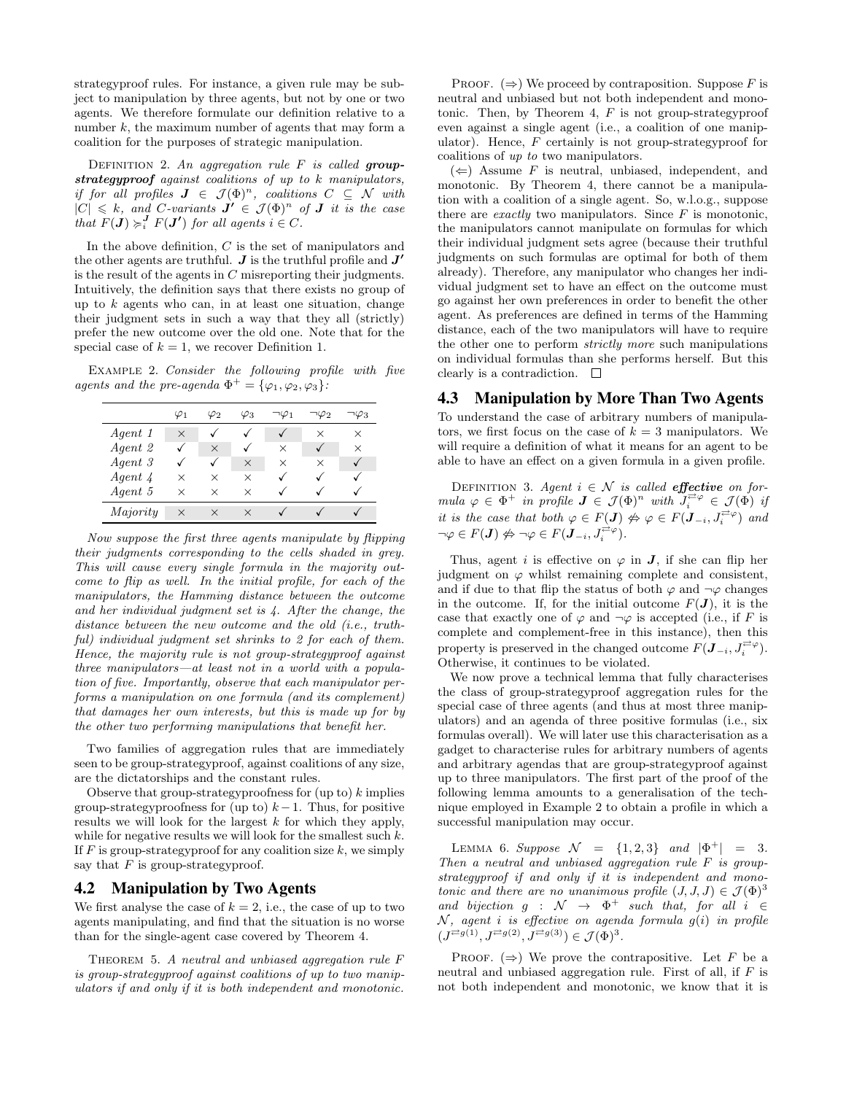strategyproof rules. For instance, a given rule may be subject to manipulation by three agents, but not by one or two agents. We therefore formulate our definition relative to a number  $k$ , the maximum number of agents that may form a coalition for the purposes of strategic manipulation.

DEFINITION 2. An aggregation rule  $F$  is called groupstrategyproof against coalitions of up to k manipulators, if for all profiles  $J \in \mathcal{J}(\Phi)^n$ , coalitions  $C \subseteq \mathcal{N}$  with  $|C| \leq k$ , and C-variants  $J' \in \mathcal{J}(\Phi)^n$  of  $J$  it is the case that  $F(\mathbf{J}) \succcurlyeq_i^{\mathbf{J}} F(\mathbf{J'})$  for all agents  $i \in C$ .

In the above definition, C is the set of manipulators and the other agents are truthful.  $J$  is the truthful profile and  $J'$ is the result of the agents in  $C$  misreporting their judgments. Intuitively, the definition says that there exists no group of up to  $k$  agents who can, in at least one situation, change their judgment sets in such a way that they all (strictly) prefer the new outcome over the old one. Note that for the special case of  $k = 1$ , we recover Definition 1.

Example 2. Consider the following profile with five agents and the pre-agenda  $\Phi^+ = {\varphi_1, \varphi_2, \varphi_3}$ :

|            | $\varphi_1$ | $\varphi_2$ | $\varphi_3$ | $\neg \varphi_1$ | 92י      | ٦ $\varphi_3$ |
|------------|-------------|-------------|-------------|------------------|----------|---------------|
| Agent 1    | $\times$    |             |             |                  | ×        | $\times$      |
| Agent 2    |             | $\times$    | ✓           | X                |          | ×             |
| Agent 3    |             |             | X           | X                | $\times$ |               |
| $Agent\ 4$ | ×           | ×           | X           |                  |          |               |
| Agent 5    | ×           | ×           | $\times$    |                  |          |               |
| Majority   | ×           | X           | $\times$    |                  |          |               |

Now suppose the first three agents manipulate by flipping their judgments corresponding to the cells shaded in grey. This will cause every single formula in the majority outcome to flip as well. In the initial profile, for each of the manipulators, the Hamming distance between the outcome and her individual judgment set is 4. After the change, the distance between the new outcome and the old (i.e., truthful) individual judgment set shrinks to 2 for each of them. Hence, the majority rule is not group-strategyproof against three manipulators—at least not in a world with a population of five. Importantly, observe that each manipulator performs a manipulation on one formula (and its complement) that damages her own interests, but this is made up for by the other two performing manipulations that benefit her.

Two families of aggregation rules that are immediately seen to be group-strategyproof, against coalitions of any size, are the dictatorships and the constant rules.

Observe that group-strategyproofness for  $($ up to $)$  k implies group-strategyproofness for (up to)  $k-1$ . Thus, for positive results we will look for the largest  $k$  for which they apply, while for negative results we will look for the smallest such  $k$ . If  $F$  is group-strategyproof for any coalition size  $k$ , we simply say that  $F$  is group-strategyproof.

## 4.2 Manipulation by Two Agents

We first analyse the case of  $k = 2$ , i.e., the case of up to two agents manipulating, and find that the situation is no worse than for the single-agent case covered by Theorem 4.

THEOREM 5. A neutral and unbiased aggregation rule  $F$ is group-strategyproof against coalitions of up to two manipulators if and only if it is both independent and monotonic.

PROOF.  $(\Rightarrow)$  We proceed by contraposition. Suppose F is neutral and unbiased but not both independent and monotonic. Then, by Theorem 4,  $F$  is not group-strategyproof even against a single agent (i.e., a coalition of one manipulator). Hence,  $F$  certainly is not group-strategyproof for coalitions of up to two manipulators.

 $(\Leftarrow)$  Assume F is neutral, unbiased, independent, and monotonic. By Theorem 4, there cannot be a manipulation with a coalition of a single agent. So, w.l.o.g., suppose there are *exactly* two manipulators. Since  $F$  is monotonic, the manipulators cannot manipulate on formulas for which their individual judgment sets agree (because their truthful judgments on such formulas are optimal for both of them already). Therefore, any manipulator who changes her individual judgment set to have an effect on the outcome must go against her own preferences in order to benefit the other agent. As preferences are defined in terms of the Hamming distance, each of the two manipulators will have to require the other one to perform strictly more such manipulations on individual formulas than she performs herself. But this clearly is a contradiction.  $\square$ 

### 4.3 Manipulation by More Than Two Agents

To understand the case of arbitrary numbers of manipulators, we first focus on the case of  $k = 3$  manipulators. We will require a definition of what it means for an agent to be able to have an effect on a given formula in a given profile.

DEFINITION 3. Agent  $i \in \mathcal{N}$  is called **effective** on formula  $\varphi \in \Phi^+$  in profile  $\mathbf{J} \in \mathcal{J}(\Phi)^n$  with  $J_i^{\vec{r}} \varphi \in \mathcal{J}(\Phi)$  if it is the case that both  $\varphi \in F(\mathbf{J}) \not\Leftrightarrow \varphi \in F(\mathbf{J}_{-i}, J_i^{\pm \varphi})$  and  $\neg \varphi \in F(\mathbf{J}) \nleftrightarrow \neg \varphi \in F(\mathbf{J}_{-i}, J_i^{\neq \varphi}).$ 

Thus, agent i is effective on  $\varphi$  in **J**, if she can flip her judgment on  $\varphi$  whilst remaining complete and consistent, and if due to that flip the status of both  $\varphi$  and  $\neg \varphi$  changes in the outcome. If, for the initial outcome  $F(\mathbf{J})$ , it is the case that exactly one of  $\varphi$  and  $\neg \varphi$  is accepted (i.e., if F is complete and complement-free in this instance), then this property is preserved in the changed outcome  $F(\mathbf{J}_{-i}, J_i^{\rightleftarrows}\varphi)$ . Otherwise, it continues to be violated.

We now prove a technical lemma that fully characterises the class of group-strategyproof aggregation rules for the special case of three agents (and thus at most three manipulators) and an agenda of three positive formulas (i.e., six formulas overall). We will later use this characterisation as a gadget to characterise rules for arbitrary numbers of agents and arbitrary agendas that are group-strategyproof against up to three manipulators. The first part of the proof of the following lemma amounts to a generalisation of the technique employed in Example 2 to obtain a profile in which a successful manipulation may occur.

LEMMA 6. Suppose  $\mathcal{N} = \{1, 2, 3\}$  and  $|\Phi^+| = 3$ . Then a neutral and unbiased aggregation rule F is groupstrategyproof if and only if it is independent and monotonic and there are no unanimous profile  $(J, J, J) \in \mathcal{J}(\Phi)^3$ and bijection  $g : \mathcal{N} \to \Phi^+$  such that, for all  $i \in$  $N$ , agent i is effective on agenda formula  $g(i)$  in profile  $(J^{\neq g(1)}, J^{\neq g(2)}, \tilde{J}^{\neq g(3)}) \in \mathcal{J}(\Phi)^3.$ 

PROOF.  $(\Rightarrow)$  We prove the contrapositive. Let F be a neutral and unbiased aggregation rule. First of all, if  $F$  is not both independent and monotonic, we know that it is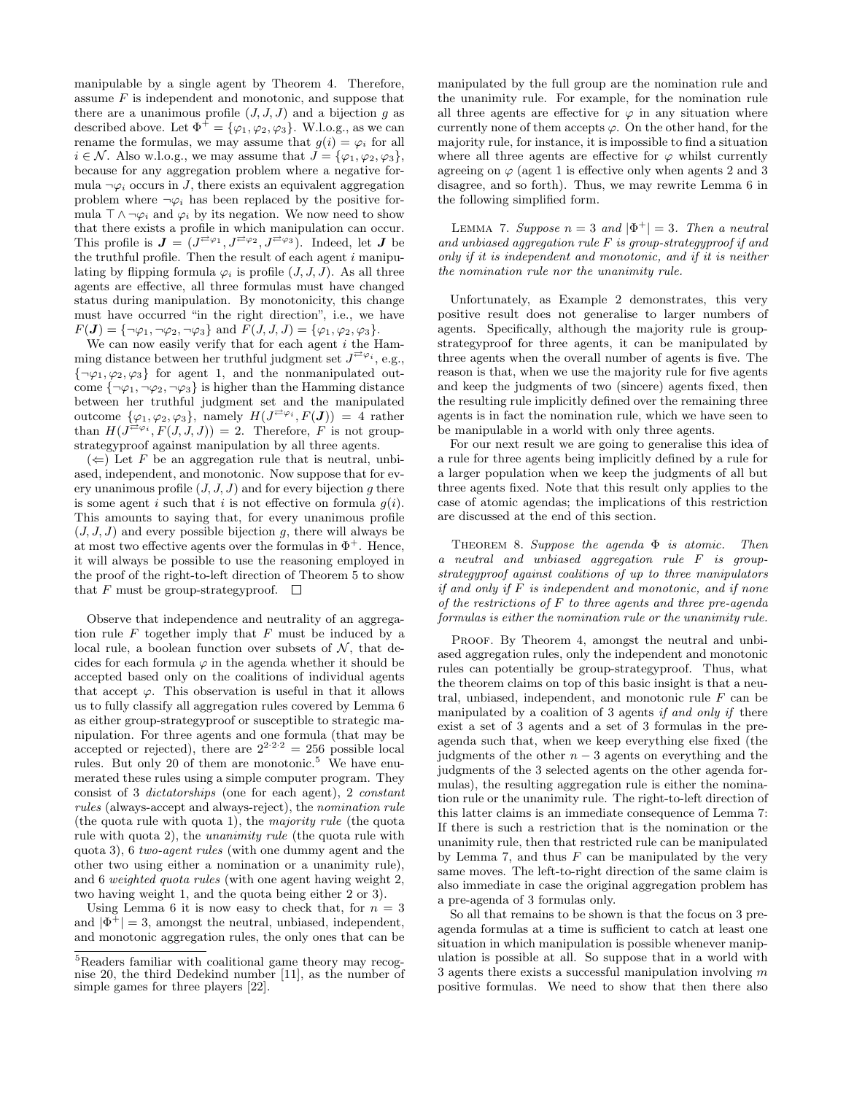manipulable by a single agent by Theorem 4. Therefore, assume  $F$  is independent and monotonic, and suppose that there are a unanimous profile  $(J, J, J)$  and a bijection g as described above. Let  $\Phi^+ = {\varphi_1, \varphi_2, \varphi_3}.$  W.l.o.g., as we can rename the formulas, we may assume that  $g(i) = \varphi_i$  for all  $i \in \mathcal{N}$ . Also w.l.o.g., we may assume that  $J = {\varphi_1, \varphi_2, \varphi_3},$ because for any aggregation problem where a negative formula  $\neg \varphi_i$  occurs in J, there exists an equivalent aggregation problem where  $\neg \varphi_i$  has been replaced by the positive formula  $\top \wedge \neg \varphi_i$  and  $\varphi_i$  by its negation. We now need to show that there exists a profile in which manipulation can occur. This profile is  $J = (J^{\neq \varphi_1}, J^{\neq \varphi_2}, J^{\neq \varphi_3})$ . Indeed, let J be the truthful profile. Then the result of each agent  $i$  manipulating by flipping formula  $\varphi_i$  is profile  $(J, J, J)$ . As all three agents are effective, all three formulas must have changed status during manipulation. By monotonicity, this change must have occurred "in the right direction", i.e., we have  $F(\mathbf{J}) = {\neg \varphi_1, \neg \varphi_2, \neg \varphi_3}$  and  $F(J, J, J) = {\varphi_1, \varphi_2, \varphi_3}.$ 

We can now easily verify that for each agent  $i$  the Hamming distance between her truthful judgment set  $J^{\rightleftarrows}\varphi_i$ , e.g.,  ${\lbrace \neg \varphi_1, \varphi_2, \varphi_3 \rbrace}$  for agent 1, and the nonmanipulated outcome  $\{\neg \varphi_1, \neg \varphi_2, \neg \varphi_3\}$  is higher than the Hamming distance between her truthful judgment set and the manipulated outcome  $\{\varphi_1,\varphi_2,\varphi_3\}$ , namely  $H(J^{\neq \varphi_i},F(J)) = 4$  rather than  $H(J^{\overrightarrow{c}\varphi_i}, F(J,J,J)) = 2$ . Therefore, F is not groupstrategyproof against manipulation by all three agents.

 $(\Leftarrow)$  Let F be an aggregation rule that is neutral, unbiased, independent, and monotonic. Now suppose that for every unanimous profile  $(J, J, J)$  and for every bijection q there is some agent i such that i is not effective on formula  $g(i)$ . This amounts to saying that, for every unanimous profile  $(J, J, J)$  and every possible bijection g, there will always be at most two effective agents over the formulas in  $\Phi^+$ . Hence, it will always be possible to use the reasoning employed in the proof of the right-to-left direction of Theorem 5 to show that F must be group-strategyproof.  $\Box$ 

Observe that independence and neutrality of an aggregation rule  $F$  together imply that  $F$  must be induced by a local rule, a boolean function over subsets of  $N$ , that decides for each formula  $\varphi$  in the agenda whether it should be accepted based only on the coalitions of individual agents that accept  $\varphi$ . This observation is useful in that it allows us to fully classify all aggregation rules covered by Lemma 6 as either group-strategyproof or susceptible to strategic manipulation. For three agents and one formula (that may be accepted or rejected), there are  $2^{2 \cdot 2 \cdot 2} = 256$  possible local rules. But only 20 of them are monotonic.<sup>5</sup> We have enumerated these rules using a simple computer program. They consist of 3 dictatorships (one for each agent), 2 constant rules (always-accept and always-reject), the nomination rule (the quota rule with quota 1), the majority rule (the quota rule with quota 2), the unanimity rule (the quota rule with quota 3), 6 two-agent rules (with one dummy agent and the other two using either a nomination or a unanimity rule), and 6 weighted quota rules (with one agent having weight 2, two having weight 1, and the quota being either 2 or 3).

Using Lemma 6 it is now easy to check that, for  $n = 3$ and  $|\Phi^+| = 3$ , amongst the neutral, unbiased, independent, and monotonic aggregation rules, the only ones that can be manipulated by the full group are the nomination rule and the unanimity rule. For example, for the nomination rule all three agents are effective for  $\varphi$  in any situation where currently none of them accepts  $\varphi$ . On the other hand, for the majority rule, for instance, it is impossible to find a situation where all three agents are effective for  $\varphi$  whilst currently agreeing on  $\varphi$  (agent 1 is effective only when agents 2 and 3 disagree, and so forth). Thus, we may rewrite Lemma 6 in the following simplified form.

LEMMA 7. Suppose  $n = 3$  and  $|\Phi^+| = 3$ . Then a neutral and unbiased aggregation rule  $F$  is group-strategyproof if and only if it is independent and monotonic, and if it is neither the nomination rule nor the unanimity rule.

Unfortunately, as Example 2 demonstrates, this very positive result does not generalise to larger numbers of agents. Specifically, although the majority rule is groupstrategyproof for three agents, it can be manipulated by three agents when the overall number of agents is five. The reason is that, when we use the majority rule for five agents and keep the judgments of two (sincere) agents fixed, then the resulting rule implicitly defined over the remaining three agents is in fact the nomination rule, which we have seen to be manipulable in a world with only three agents.

For our next result we are going to generalise this idea of a rule for three agents being implicitly defined by a rule for a larger population when we keep the judgments of all but three agents fixed. Note that this result only applies to the case of atomic agendas; the implications of this restriction are discussed at the end of this section.

THEOREM 8. Suppose the agenda  $\Phi$  is atomic. Then a neutral and unbiased aggregation rule F is groupstrategyproof against coalitions of up to three manipulators if and only if  $F$  is independent and monotonic, and if none of the restrictions of F to three agents and three pre-agenda formulas is either the nomination rule or the unanimity rule.

PROOF. By Theorem 4, amongst the neutral and unbiased aggregation rules, only the independent and monotonic rules can potentially be group-strategyproof. Thus, what the theorem claims on top of this basic insight is that a neutral, unbiased, independent, and monotonic rule  $F$  can be manipulated by a coalition of 3 agents if and only if there exist a set of 3 agents and a set of 3 formulas in the preagenda such that, when we keep everything else fixed (the judgments of the other  $n-3$  agents on everything and the judgments of the 3 selected agents on the other agenda formulas), the resulting aggregation rule is either the nomination rule or the unanimity rule. The right-to-left direction of this latter claims is an immediate consequence of Lemma 7: If there is such a restriction that is the nomination or the unanimity rule, then that restricted rule can be manipulated by Lemma 7, and thus  $F$  can be manipulated by the very same moves. The left-to-right direction of the same claim is also immediate in case the original aggregation problem has a pre-agenda of 3 formulas only.

So all that remains to be shown is that the focus on 3 preagenda formulas at a time is sufficient to catch at least one situation in which manipulation is possible whenever manipulation is possible at all. So suppose that in a world with 3 agents there exists a successful manipulation involving  $m$ positive formulas. We need to show that then there also

<sup>5</sup>Readers familiar with coalitional game theory may recognise 20, the third Dedekind number [11], as the number of simple games for three players [22].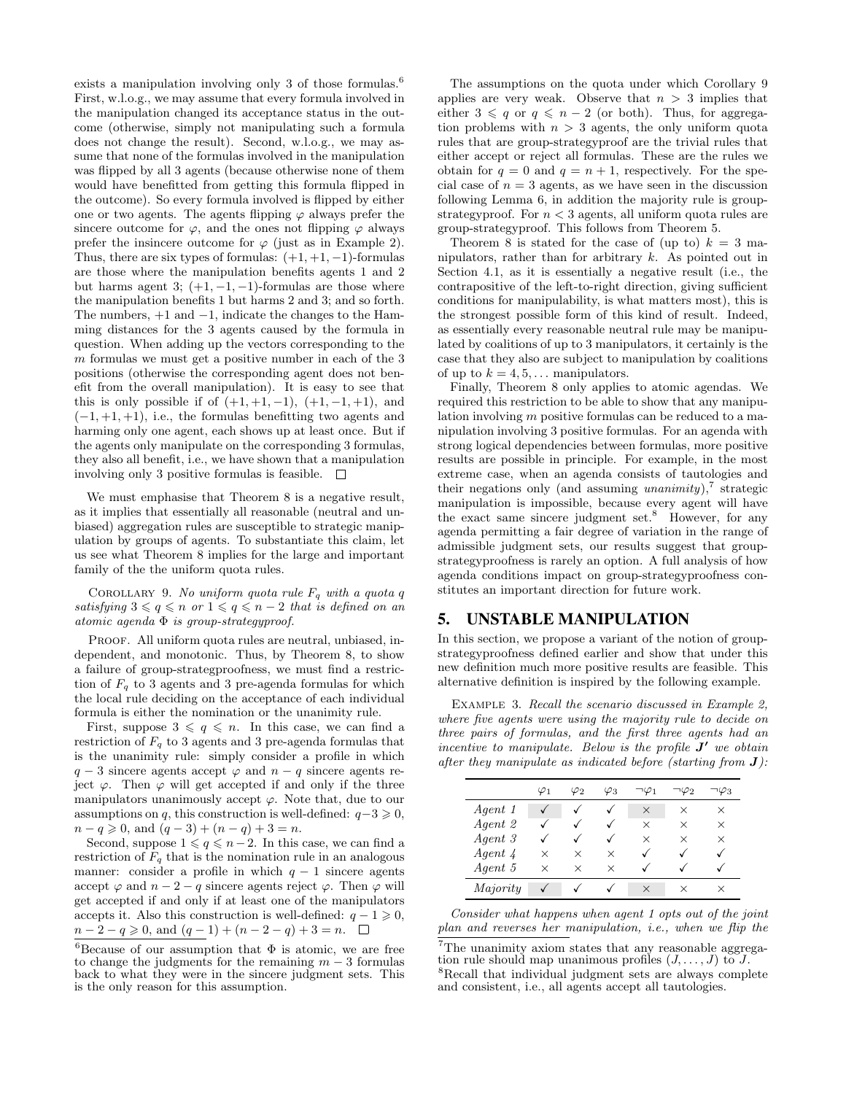exists a manipulation involving only 3 of those formulas.<sup>6</sup> First, w.l.o.g., we may assume that every formula involved in the manipulation changed its acceptance status in the outcome (otherwise, simply not manipulating such a formula does not change the result). Second, w.l.o.g., we may assume that none of the formulas involved in the manipulation was flipped by all 3 agents (because otherwise none of them would have benefitted from getting this formula flipped in the outcome). So every formula involved is flipped by either one or two agents. The agents flipping  $\varphi$  always prefer the sincere outcome for  $\varphi$ , and the ones not flipping  $\varphi$  always prefer the insincere outcome for  $\varphi$  (just as in Example 2). Thus, there are six types of formulas:  $(+1, +1, -1)$ -formulas are those where the manipulation benefits agents 1 and 2 but harms agent 3;  $(+1, -1, -1)$ -formulas are those where the manipulation benefits 1 but harms 2 and 3; and so forth. The numbers, +1 and −1, indicate the changes to the Hamming distances for the 3 agents caused by the formula in question. When adding up the vectors corresponding to the  $m$  formulas we must get a positive number in each of the  $3$ positions (otherwise the corresponding agent does not benefit from the overall manipulation). It is easy to see that this is only possible if of  $(+1, +1, -1)$ ,  $(+1, -1, +1)$ , and  $(-1, +1, +1)$ , i.e., the formulas benefitting two agents and harming only one agent, each shows up at least once. But if the agents only manipulate on the corresponding 3 formulas, they also all benefit, i.e., we have shown that a manipulation involving only 3 positive formulas is feasible.  $\Box$ 

We must emphasise that Theorem 8 is a negative result, as it implies that essentially all reasonable (neutral and unbiased) aggregation rules are susceptible to strategic manipulation by groups of agents. To substantiate this claim, let us see what Theorem 8 implies for the large and important family of the the uniform quota rules.

COROLLARY 9. No uniform quota rule  $F_q$  with a quota q satisfying  $3 \leqslant q \leqslant n$  or  $1 \leqslant q \leqslant n - 2$  that is defined on an atomic agenda Φ is group-strategyproof.

PROOF. All uniform quota rules are neutral, unbiased, independent, and monotonic. Thus, by Theorem 8, to show a failure of group-strategproofness, we must find a restriction of  $F_q$  to 3 agents and 3 pre-agenda formulas for which the local rule deciding on the acceptance of each individual formula is either the nomination or the unanimity rule.

First, suppose  $3 \leq q \leq n$ . In this case, we can find a restriction of  $F_q$  to 3 agents and 3 pre-agenda formulas that is the unanimity rule: simply consider a profile in which  $q-3$  sincere agents accept  $\varphi$  and  $n-q$  sincere agents reject  $\varphi$ . Then  $\varphi$  will get accepted if and only if the three manipulators unanimously accept  $\varphi$ . Note that, due to our assumptions on q, this construction is well-defined:  $q-3 \geq 0$ ,  $n - q \geq 0$ , and  $(q - 3) + (n - q) + 3 = n$ .

Second, suppose  $1 \leqslant q \leqslant n-2$ . In this case, we can find a restriction of  $F_q$  that is the nomination rule in an analogous manner: consider a profile in which  $q - 1$  sincere agents accept  $\varphi$  and  $n-2-q$  sincere agents reject  $\varphi$ . Then  $\varphi$  will get accepted if and only if at least one of the manipulators accepts it. Also this construction is well-defined:  $q - 1 \geq 0$ ,  $n-2-q \geq 0$ , and  $(q-1)+(n-2-q)+3=n$ .  $\Box$ 

The assumptions on the quota under which Corollary 9 applies are very weak. Observe that  $n > 3$  implies that either  $3 \leq q$  or  $q \leq n-2$  (or both). Thus, for aggregation problems with  $n > 3$  agents, the only uniform quota rules that are group-strategyproof are the trivial rules that either accept or reject all formulas. These are the rules we obtain for  $q = 0$  and  $q = n + 1$ , respectively. For the special case of  $n = 3$  agents, as we have seen in the discussion following Lemma 6, in addition the majority rule is groupstrategyproof. For  $n < 3$  agents, all uniform quota rules are group-strategyproof. This follows from Theorem 5.

Theorem 8 is stated for the case of (up to)  $k = 3$  manipulators, rather than for arbitrary k. As pointed out in Section 4.1, as it is essentially a negative result (i.e., the contrapositive of the left-to-right direction, giving sufficient conditions for manipulability, is what matters most), this is the strongest possible form of this kind of result. Indeed, as essentially every reasonable neutral rule may be manipulated by coalitions of up to 3 manipulators, it certainly is the case that they also are subject to manipulation by coalitions of up to  $k = 4, 5, \ldots$  manipulators.

Finally, Theorem 8 only applies to atomic agendas. We required this restriction to be able to show that any manipulation involving m positive formulas can be reduced to a manipulation involving 3 positive formulas. For an agenda with strong logical dependencies between formulas, more positive results are possible in principle. For example, in the most extreme case, when an agenda consists of tautologies and their negations only (and assuming unanimity),<sup>7</sup> strategic manipulation is impossible, because every agent will have the exact same sincere judgment set.<sup>8</sup> However, for any agenda permitting a fair degree of variation in the range of admissible judgment sets, our results suggest that groupstrategyproofness is rarely an option. A full analysis of how agenda conditions impact on group-strategyproofness constitutes an important direction for future work.

#### 5. UNSTABLE MANIPULATION

In this section, we propose a variant of the notion of groupstrategyproofness defined earlier and show that under this new definition much more positive results are feasible. This alternative definition is inspired by the following example.

EXAMPLE 3. Recall the scenario discussed in Example 2, where five agents were using the majority rule to decide on three pairs of formulas, and the first three agents had an incentive to manipulate. Below is the profile  $J'$  we obtain after they manipulate as indicated before (starting from  $J$ ):

|          | $\varphi_1$ | $\varphi_2$ | $\varphi_3$ | $\neg \varphi_1$ | 7∕2      | ۰φ3      |
|----------|-------------|-------------|-------------|------------------|----------|----------|
| Agent 1  |             |             |             | $\times$         | ×        | X        |
| Agent 2  |             |             | ✓           | X                | $\times$ | $\times$ |
| Agent 3  |             |             |             | ×                | ×        | ×        |
| Agent 4  | ×           | $\times$    | X           |                  |          |          |
| Agent 5  | $\times$    | $\times$    | X           |                  |          |          |
| Majority |             |             |             | ×                | ×        | ×        |

Consider what happens when agent 1 opts out of the joint plan and reverses her manipulation, i.e., when we flip the

 ${}^{6}$ Because of our assumption that  $\Phi$  is atomic, we are free to change the judgments for the remaining  $m-3$  formulas back to what they were in the sincere judgment sets. This is the only reason for this assumption.

<sup>7</sup>The unanimity axiom states that any reasonable aggregation rule should map unanimous profiles  $(J, \ldots, J)$  to J. <sup>8</sup>Recall that individual judgment sets are always complete and consistent, i.e., all agents accept all tautologies.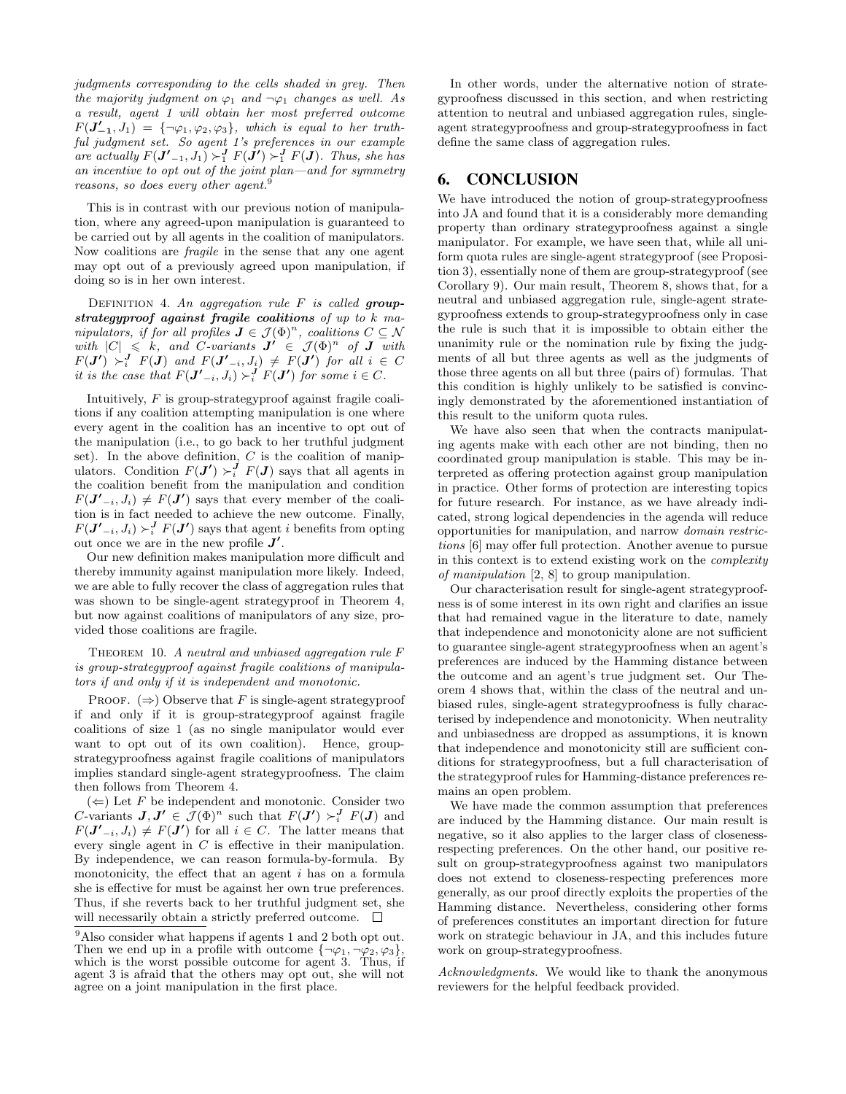judgments corresponding to the cells shaded in grey. Then the majority judgment on  $\varphi_1$  and  $\neg \varphi_1$  changes as well. As a result, agent 1 will obtain her most preferred outcome  $F(\mathbf{J'_{-1}}, J_1) = {\neg \varphi_1, \varphi_2, \varphi_3}, \text{ which is equal to her truth-}$ ful judgment set. So agent 1's preferences in our example are actually  $F(\mathbf{J}'_{-1}, J_1) \succ_1^{\mathbf{J}} F(\mathbf{J}') \succ_1^{\mathbf{J}} F(\mathbf{J})$ . Thus, she has an incentive to opt out of the joint plan—and for symmetry reasons, so does every other agent.<sup>9</sup>

This is in contrast with our previous notion of manipulation, where any agreed-upon manipulation is guaranteed to be carried out by all agents in the coalition of manipulators. Now coalitions are fragile in the sense that any one agent may opt out of a previously agreed upon manipulation, if doing so is in her own interest.

DEFINITION 4. An aggregation rule  $F$  is called groupstrategyproof against fragile coalitions of up to k manipulators, if for all profiles  $J \in \mathcal{J}(\Phi)^n$ , coalitions  $C \subseteq \mathcal{N}$ with  $|C| \leq k$ , and C-variants  $J' \in \mathcal{J}(\Phi)^n$  of  $J$  with  $F(\bm{J'}) \succ^{\bm{J}}_{i} F(\bm{J})$  and  $F(\bm{J'}_{-i},J_i) \neq F(\bm{J'})$  for all  $i \in C$ it is the case that  $F(\mathbf{J}'_{-i}, J_i) \succ_i^{\mathbf{J}} F(\mathbf{J}')$  for some  $i \in C$ .

Intuitively,  $F$  is group-strategyproof against fragile coalitions if any coalition attempting manipulation is one where every agent in the coalition has an incentive to opt out of the manipulation (i.e., to go back to her truthful judgment set). In the above definition,  $C$  is the coalition of manipulators. Condition  $F(\mathbf{J}') \succ_i^{\mathbf{J}} F(\mathbf{J})$  says that all agents in the coalition benefit from the manipulation and condition  $F(\mathbf{J'}_{-i}, J_i) \neq F(\mathbf{J'})$  says that every member of the coalition is in fact needed to achieve the new outcome. Finally,  $F(\mathbf{J'}_{-i}, J_i) \succ_i^{\mathbf{J}} F(\mathbf{J'})$  says that agent i benefits from opting out once we are in the new profile  $J'$ .

Our new definition makes manipulation more difficult and thereby immunity against manipulation more likely. Indeed, we are able to fully recover the class of aggregation rules that was shown to be single-agent strategyproof in Theorem 4, but now against coalitions of manipulators of any size, provided those coalitions are fragile.

THEOREM 10. A neutral and unbiased aggregation rule  $F$ is group-strategyproof against fragile coalitions of manipulators if and only if it is independent and monotonic.

PROOF.  $(\Rightarrow)$  Observe that F is single-agent strategyproof if and only if it is group-strategyproof against fragile coalitions of size 1 (as no single manipulator would ever want to opt out of its own coalition). Hence, groupstrategyproofness against fragile coalitions of manipulators implies standard single-agent strategyproofness. The claim then follows from Theorem 4.

 $(\Leftarrow)$  Let F be independent and monotonic. Consider two C-variants  $J, J' \in \mathcal{J}(\Phi)^n$  such that  $F(J') \succ_i^J F(J)$  and  $F(\mathbf{J'}_{-i}, J_i) \neq F(\mathbf{J'})$  for all  $i \in C$ . The latter means that every single agent in C is effective in their manipulation. By independence, we can reason formula-by-formula. By monotonicity, the effect that an agent  $i$  has on a formula she is effective for must be against her own true preferences. Thus, if she reverts back to her truthful judgment set, she will necessarily obtain a strictly preferred outcome.  $\Box$ 

In other words, under the alternative notion of strategyproofness discussed in this section, and when restricting attention to neutral and unbiased aggregation rules, singleagent strategyproofness and group-strategyproofness in fact define the same class of aggregation rules.

# 6. CONCLUSION

We have introduced the notion of group-strategyproofness into JA and found that it is a considerably more demanding property than ordinary strategyproofness against a single manipulator. For example, we have seen that, while all uniform quota rules are single-agent strategyproof (see Proposition 3), essentially none of them are group-strategyproof (see Corollary 9). Our main result, Theorem 8, shows that, for a neutral and unbiased aggregation rule, single-agent strategyproofness extends to group-strategyproofness only in case the rule is such that it is impossible to obtain either the unanimity rule or the nomination rule by fixing the judgments of all but three agents as well as the judgments of those three agents on all but three (pairs of) formulas. That this condition is highly unlikely to be satisfied is convincingly demonstrated by the aforementioned instantiation of this result to the uniform quota rules.

We have also seen that when the contracts manipulating agents make with each other are not binding, then no coordinated group manipulation is stable. This may be interpreted as offering protection against group manipulation in practice. Other forms of protection are interesting topics for future research. For instance, as we have already indicated, strong logical dependencies in the agenda will reduce opportunities for manipulation, and narrow domain restrictions [6] may offer full protection. Another avenue to pursue in this context is to extend existing work on the complexity of manipulation [2, 8] to group manipulation.

Our characterisation result for single-agent strategyproofness is of some interest in its own right and clarifies an issue that had remained vague in the literature to date, namely that independence and monotonicity alone are not sufficient to guarantee single-agent strategyproofness when an agent's preferences are induced by the Hamming distance between the outcome and an agent's true judgment set. Our Theorem 4 shows that, within the class of the neutral and unbiased rules, single-agent strategyproofness is fully characterised by independence and monotonicity. When neutrality and unbiasedness are dropped as assumptions, it is known that independence and monotonicity still are sufficient conditions for strategyproofness, but a full characterisation of the strategyproof rules for Hamming-distance preferences remains an open problem.

We have made the common assumption that preferences are induced by the Hamming distance. Our main result is negative, so it also applies to the larger class of closenessrespecting preferences. On the other hand, our positive result on group-strategyproofness against two manipulators does not extend to closeness-respecting preferences more generally, as our proof directly exploits the properties of the Hamming distance. Nevertheless, considering other forms of preferences constitutes an important direction for future work on strategic behaviour in JA, and this includes future work on group-strategyproofness.

Acknowledgments. We would like to thank the anonymous reviewers for the helpful feedback provided.

<sup>&</sup>lt;sup>9</sup>Also consider what happens if agents 1 and 2 both opt out. Then we end up in a profile with outcome  $\{\neg \varphi_1, \neg \varphi_2, \varphi_3\},\$ which is the worst possible outcome for agent 3. Thus, if agent 3 is afraid that the others may opt out, she will not agree on a joint manipulation in the first place.